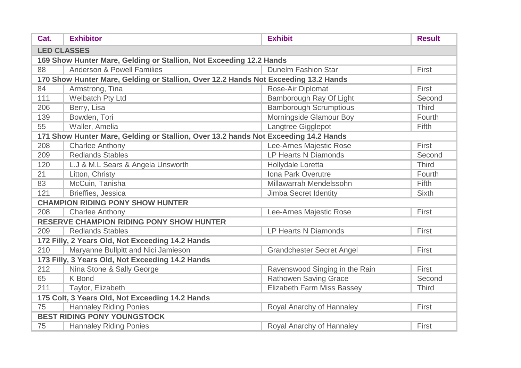| Cat.                                                                | <b>Exhibitor</b>                                                                    | <b>Exhibit</b>                    | <b>Result</b> |  |  |
|---------------------------------------------------------------------|-------------------------------------------------------------------------------------|-----------------------------------|---------------|--|--|
| <b>LED CLASSES</b>                                                  |                                                                                     |                                   |               |  |  |
| 169 Show Hunter Mare, Gelding or Stallion, Not Exceeding 12.2 Hands |                                                                                     |                                   |               |  |  |
| 88                                                                  | <b>Anderson &amp; Powell Families</b>                                               | <b>Dunelm Fashion Star</b>        | First         |  |  |
|                                                                     | 170 Show Hunter Mare, Gelding or Stallion, Over 12.2 Hands Not Exceeding 13.2 Hands |                                   |               |  |  |
| 84                                                                  | Armstrong, Tina                                                                     | Rose-Air Diplomat                 | First         |  |  |
| 111                                                                 | Welbatch Pty Ltd                                                                    | Bamborough Ray Of Light           | Second        |  |  |
| 206                                                                 | Berry, Lisa                                                                         | <b>Bamborough Scrumptious</b>     | <b>Third</b>  |  |  |
| 139                                                                 | Bowden, Tori                                                                        | Morningside Glamour Boy           | Fourth        |  |  |
| 55                                                                  | Waller, Amelia                                                                      | Langtree Gigglepot                | Fifth         |  |  |
|                                                                     | 171 Show Hunter Mare, Gelding or Stallion, Over 13.2 hands Not Exceeding 14.2 Hands |                                   |               |  |  |
| 208                                                                 | <b>Charlee Anthony</b>                                                              | Lee-Arnes Majestic Rose           | First         |  |  |
| 209                                                                 | <b>Redlands Stables</b>                                                             | <b>LP Hearts N Diamonds</b>       | Second        |  |  |
| 120                                                                 | L.J & M.L Sears & Angela Unsworth                                                   | Hollydale Loretta                 | <b>Third</b>  |  |  |
| 21                                                                  | Litton, Christy                                                                     | Iona Park Overutre                | Fourth        |  |  |
| 83                                                                  | McCuin, Tanisha                                                                     | Millawarrah Mendelssohn           | Fifth         |  |  |
| 121                                                                 | Brieffies, Jessica                                                                  | Jimba Secret Identity             | <b>Sixth</b>  |  |  |
|                                                                     | <b>CHAMPION RIDING PONY SHOW HUNTER</b>                                             |                                   |               |  |  |
| 208                                                                 | <b>Charlee Anthony</b>                                                              | Lee-Arnes Majestic Rose           | First         |  |  |
|                                                                     | <b>RESERVE CHAMPION RIDING PONY SHOW HUNTER</b>                                     |                                   |               |  |  |
| 209                                                                 | <b>Redlands Stables</b>                                                             | <b>LP Hearts N Diamonds</b>       | First         |  |  |
|                                                                     | 172 Filly, 2 Years Old, Not Exceeding 14.2 Hands                                    |                                   |               |  |  |
| 210                                                                 | Maryanne Bullpitt and Nici Jamieson                                                 | <b>Grandchester Secret Angel</b>  | First         |  |  |
| 173 Filly, 3 Years Old, Not Exceeding 14.2 Hands                    |                                                                                     |                                   |               |  |  |
| 212                                                                 | Nina Stone & Sally George                                                           | Ravenswood Singing in the Rain    | First         |  |  |
| 65                                                                  | <b>K</b> Bond                                                                       | Rathowen Saving Grace             | Second        |  |  |
| 211                                                                 | Taylor, Elizabeth                                                                   | <b>Elizabeth Farm Miss Bassey</b> | <b>Third</b>  |  |  |
| 175 Colt, 3 Years Old, Not Exceeding 14.2 Hands                     |                                                                                     |                                   |               |  |  |
| 75                                                                  | <b>Hannaley Riding Ponies</b>                                                       | Royal Anarchy of Hannaley         | First         |  |  |
| <b>BEST RIDING PONY YOUNGSTOCK</b>                                  |                                                                                     |                                   |               |  |  |
| 75                                                                  | <b>Hannaley Riding Ponies</b>                                                       | Royal Anarchy of Hannaley         | First         |  |  |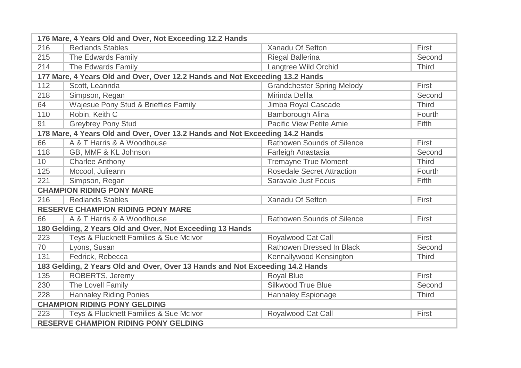| 176 Mare, 4 Years Old and Over, Not Exceeding 12.2 Hands                      |                                                                              |                                   |              |  |
|-------------------------------------------------------------------------------|------------------------------------------------------------------------------|-----------------------------------|--------------|--|
| 216                                                                           | <b>Redlands Stables</b>                                                      | <b>Xanadu Of Sefton</b>           | First        |  |
| 215                                                                           | The Edwards Family                                                           | <b>Riegal Ballerina</b>           | Second       |  |
| 214                                                                           | The Edwards Family                                                           | Langtree Wild Orchid              | <b>Third</b> |  |
|                                                                               | 177 Mare, 4 Years Old and Over, Over 12.2 Hands and Not Exceeding 13.2 Hands |                                   |              |  |
| 112                                                                           | Scott, Leannda                                                               | <b>Grandchester Spring Melody</b> | First        |  |
| 218                                                                           | Simpson, Regan                                                               | Mirinda Delila                    | Second       |  |
| 64                                                                            | Wajesue Pony Stud & Brieffies Family                                         | Jimba Royal Cascade               | <b>Third</b> |  |
| 110                                                                           | Robin, Keith C                                                               | Bamborough Alina                  | Fourth       |  |
| 91                                                                            | <b>Greybrey Pony Stud</b>                                                    | <b>Pacific View Petite Amie</b>   | Fifth        |  |
|                                                                               | 178 Mare, 4 Years Old and Over, Over 13.2 Hands and Not Exceeding 14.2 Hands |                                   |              |  |
| 66                                                                            | A & T Harris & A Woodhouse                                                   | <b>Rathowen Sounds of Silence</b> | First        |  |
| 118                                                                           | GB, MMF & KL Johnson                                                         | Farleigh Anastasia                | Second       |  |
| 10 <sup>1</sup>                                                               | <b>Charlee Anthony</b>                                                       | <b>Tremayne True Moment</b>       | <b>Third</b> |  |
| 125                                                                           | Mccool, Julieann                                                             | <b>Rosedale Secret Attraction</b> | Fourth       |  |
| 221                                                                           | Simpson, Regan                                                               | <b>Saravale Just Focus</b>        | Fifth        |  |
| <b>CHAMPION RIDING PONY MARE</b>                                              |                                                                              |                                   |              |  |
| 216                                                                           | <b>Redlands Stables</b>                                                      | Xanadu Of Sefton                  | First        |  |
|                                                                               | <b>RESERVE CHAMPION RIDING PONY MARE</b>                                     |                                   |              |  |
| 66                                                                            | A & T Harris & A Woodhouse                                                   | <b>Rathowen Sounds of Silence</b> | First        |  |
|                                                                               | 180 Gelding, 2 Years Old and Over, Not Exceeding 13 Hands                    |                                   |              |  |
| 223                                                                           | Teys & Plucknett Families & Sue McIvor                                       | <b>Royalwood Cat Call</b>         | First        |  |
| 70                                                                            | Lyons, Susan                                                                 | Rathowen Dressed In Black         | Second       |  |
| 131                                                                           | Fedrick, Rebecca                                                             | Kennallywood Kensington           | <b>Third</b> |  |
| 183 Gelding, 2 Years Old and Over, Over 13 Hands and Not Exceeding 14.2 Hands |                                                                              |                                   |              |  |
| 135                                                                           | ROBERTS, Jeremy                                                              | <b>Royal Blue</b>                 | First        |  |
| 230                                                                           | The Lovell Family                                                            | <b>Silkwood True Blue</b>         | Second       |  |
| 228                                                                           | <b>Hannaley Riding Ponies</b>                                                | <b>Hannaley Espionage</b>         | <b>Third</b> |  |
| <b>CHAMPION RIDING PONY GELDING</b>                                           |                                                                              |                                   |              |  |
| 223                                                                           | Teys & Plucknett Families & Sue McIvor                                       | Royalwood Cat Call                | First        |  |
| <b>RESERVE CHAMPION RIDING PONY GELDING</b>                                   |                                                                              |                                   |              |  |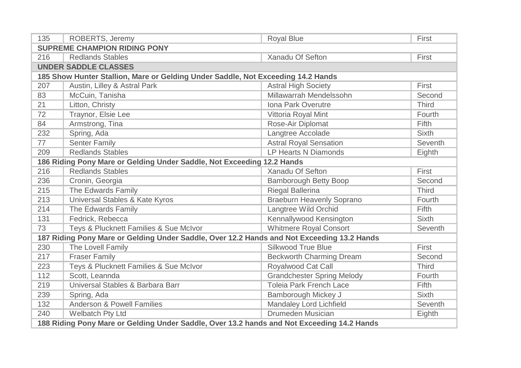| 135                                                                                        | ROBERTS, Jeremy                                                                            | <b>Royal Blue</b>                 | First        |  |
|--------------------------------------------------------------------------------------------|--------------------------------------------------------------------------------------------|-----------------------------------|--------------|--|
| <b>SUPREME CHAMPION RIDING PONY</b>                                                        |                                                                                            |                                   |              |  |
| 216                                                                                        | <b>Redlands Stables</b>                                                                    | Xanadu Of Sefton                  | First        |  |
|                                                                                            | <b>UNDER SADDLE CLASSES</b>                                                                |                                   |              |  |
|                                                                                            | 185 Show Hunter Stallion, Mare or Gelding Under Saddle, Not Exceeding 14.2 Hands           |                                   |              |  |
| 207                                                                                        | Austin, Lilley & Astral Park                                                               | <b>Astral High Society</b>        | First        |  |
| 83                                                                                         | McCuin, Tanisha                                                                            | Millawarrah Mendelssohn           | Second       |  |
| 21                                                                                         | Litton, Christy                                                                            | <b>Iona Park Overutre</b>         | <b>Third</b> |  |
| 72                                                                                         | Traynor, Elsie Lee                                                                         | Vittoria Royal Mint               | Fourth       |  |
| 84                                                                                         | Armstrong, Tina                                                                            | Rose-Air Diplomat                 | Fifth        |  |
| 232                                                                                        | Spring, Ada                                                                                | Langtree Accolade                 | <b>Sixth</b> |  |
| 77                                                                                         | <b>Senter Family</b>                                                                       | <b>Astral Royal Sensation</b>     | Seventh      |  |
| 209                                                                                        | <b>Redlands Stables</b>                                                                    | <b>LP Hearts N Diamonds</b>       | Eighth       |  |
|                                                                                            | 186 Riding Pony Mare or Gelding Under Saddle, Not Exceeding 12.2 Hands                     |                                   |              |  |
| 216                                                                                        | <b>Redlands Stables</b>                                                                    | Xanadu Of Sefton                  | First        |  |
| 236                                                                                        | Cronin, Georgia                                                                            | <b>Bamborough Betty Boop</b>      | Second       |  |
| 215                                                                                        | The Edwards Family                                                                         | <b>Riegal Ballerina</b>           | <b>Third</b> |  |
| 213                                                                                        | Universal Stables & Kate Kyros                                                             | <b>Braeburn Heavenly Soprano</b>  | Fourth       |  |
| 214                                                                                        | The Edwards Family                                                                         | Langtree Wild Orchid              | Fifth        |  |
| 131                                                                                        | Fedrick, Rebecca                                                                           | Kennallywood Kensington           | <b>Sixth</b> |  |
| 73                                                                                         | Teys & Plucknett Families & Sue McIvor                                                     | <b>Whitmere Royal Consort</b>     | Seventh      |  |
|                                                                                            | 187 Riding Pony Mare or Gelding Under Saddle, Over 12.2 Hands and Not Exceeding 13.2 Hands |                                   |              |  |
| 230                                                                                        | The Lovell Family                                                                          | <b>Silkwood True Blue</b>         | First        |  |
| 217                                                                                        | <b>Fraser Family</b>                                                                       | <b>Beckworth Charming Dream</b>   | Second       |  |
| 223                                                                                        | Teys & Plucknett Families & Sue McIvor                                                     | Royalwood Cat Call                | <b>Third</b> |  |
| 112                                                                                        | Scott, Leannda                                                                             | <b>Grandchester Spring Melody</b> | Fourth       |  |
| 219                                                                                        | Universal Stables & Barbara Barr                                                           | <b>Toleia Park French Lace</b>    | <b>Fifth</b> |  |
| 239                                                                                        | Spring, Ada                                                                                | Bamborough Mickey J               | <b>Sixth</b> |  |
| 132                                                                                        | <b>Anderson &amp; Powell Families</b>                                                      | Mandaley Lord Lichfield           | Seventh      |  |
| 240                                                                                        | Welbatch Pty Ltd                                                                           | <b>Drumeden Musician</b>          | Eighth       |  |
| 188 Riding Pony Mare or Gelding Under Saddle, Over 13.2 hands and Not Exceeding 14.2 Hands |                                                                                            |                                   |              |  |